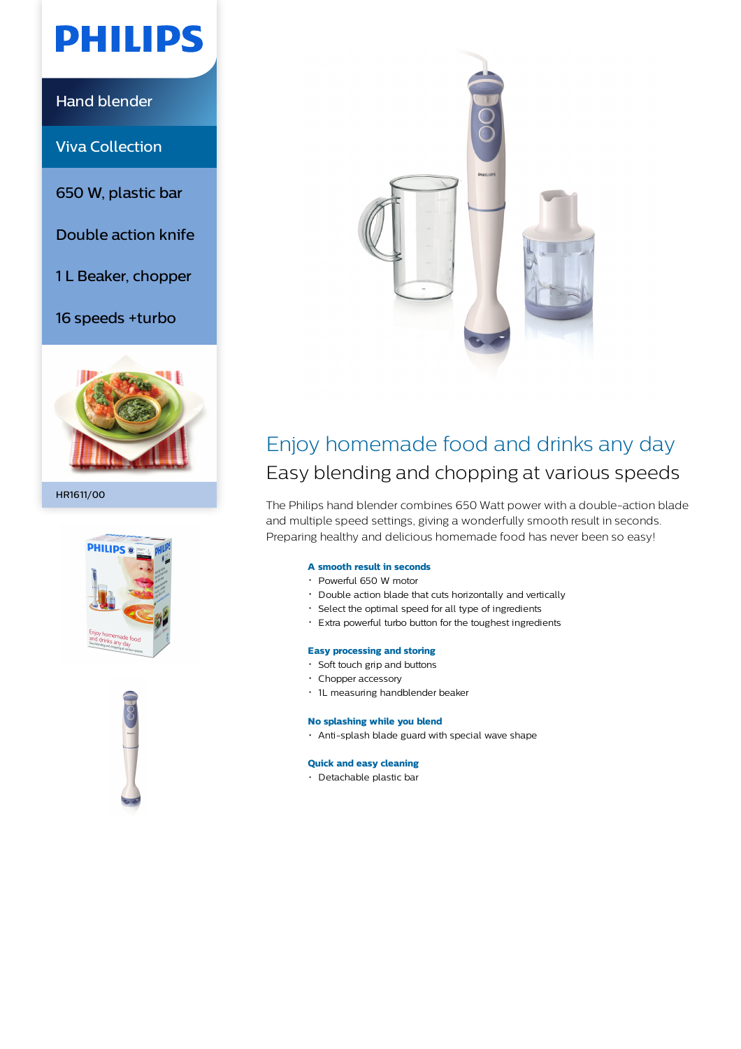# **PHILIPS**

Hand blender

Viva Collection

650 W, plastic bar

Double action knife

1 L Beaker, chopper

16 speeds +turbo



HR1611/00







### Enjoy homemade food and drinks any day Easy blending and chopping at various speeds

The Philips hand blender combines 650 Watt power with a double-action blade and multiple speed settings, giving a wonderfully smooth result in seconds. Preparing healthy and delicious homemade food has never been so easy!

#### **A smooth result in seconds**

- Powerful 650 W motor
- Double action blade that cuts horizontally and vertically
- Select the optimal speed for all type of ingredients
- Extra powerful turbo button for the toughest ingredients

#### **Easy processing and storing**

- Soft touch grip and buttons
- Chopper accessory
- 1L measuring handblender beaker

#### **No splashing while you blend**

Anti-splash blade guard with special wave shape

#### **Quick and easy cleaning**

Detachable plastic bar